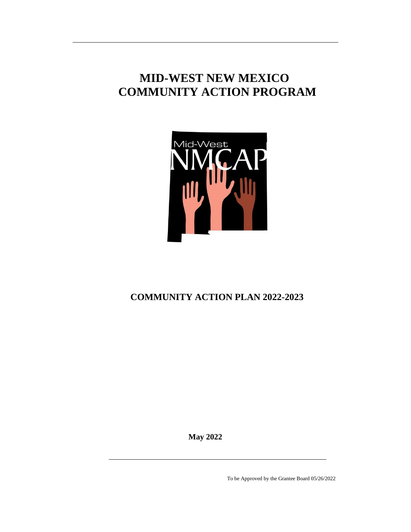# **MID-WEST NEW MEXICO COMMUNITY ACTION PROGRAM**



# **COMMUNITY ACTION PLAN 2022-2023**

**May 2022**

To be Approved by the Grantee Board 05/26/2022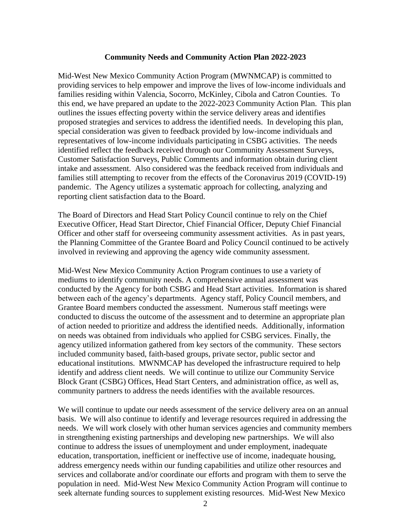#### **Community Needs and Community Action Plan 2022-2023**

Mid-West New Mexico Community Action Program (MWNMCAP) is committed to providing services to help empower and improve the lives of low-income individuals and families residing within Valencia, Socorro, McKinley, Cibola and Catron Counties. To this end, we have prepared an update to the 2022-2023 Community Action Plan. This plan outlines the issues effecting poverty within the service delivery areas and identifies proposed strategies and services to address the identified needs. In developing this plan, special consideration was given to feedback provided by low-income individuals and representatives of low-income individuals participating in CSBG activities. The needs identified reflect the feedback received through our Community Assessment Surveys, Customer Satisfaction Surveys, Public Comments and information obtain during client intake and assessment. Also considered was the feedback received from individuals and families still attempting to recover from the effects of the Coronavirus 2019 (COVID-19) pandemic. The Agency utilizes a systematic approach for collecting, analyzing and reporting client satisfaction data to the Board.

The Board of Directors and Head Start Policy Council continue to rely on the Chief Executive Officer, Head Start Director, Chief Financial Officer, Deputy Chief Financial Officer and other staff for overseeing community assessment activities. As in past years, the Planning Committee of the Grantee Board and Policy Council continued to be actively involved in reviewing and approving the agency wide community assessment.

Mid-West New Mexico Community Action Program continues to use a variety of mediums to identify community needs. A comprehensive annual assessment was conducted by the Agency for both CSBG and Head Start activities. Information is shared between each of the agency's departments. Agency staff, Policy Council members, and Grantee Board members conducted the assessment. Numerous staff meetings were conducted to discuss the outcome of the assessment and to determine an appropriate plan of action needed to prioritize and address the identified needs. Additionally, information on needs was obtained from individuals who applied for CSBG services. Finally, the agency utilized information gathered from key sectors of the community. These sectors included community based, faith-based groups, private sector, public sector and educational institutions. MWNMCAP has developed the infrastructure required to help identify and address client needs. We will continue to utilize our Community Service Block Grant (CSBG) Offices, Head Start Centers, and administration office, as well as, community partners to address the needs identifies with the available resources.

We will continue to update our needs assessment of the service delivery area on an annual basis. We will also continue to identify and leverage resources required in addressing the needs. We will work closely with other human services agencies and community members in strengthening existing partnerships and developing new partnerships. We will also continue to address the issues of unemployment and under employment, inadequate education, transportation, inefficient or ineffective use of income, inadequate housing, address emergency needs within our funding capabilities and utilize other resources and services and collaborate and/or coordinate our efforts and program with them to serve the population in need. Mid-West New Mexico Community Action Program will continue to seek alternate funding sources to supplement existing resources. Mid-West New Mexico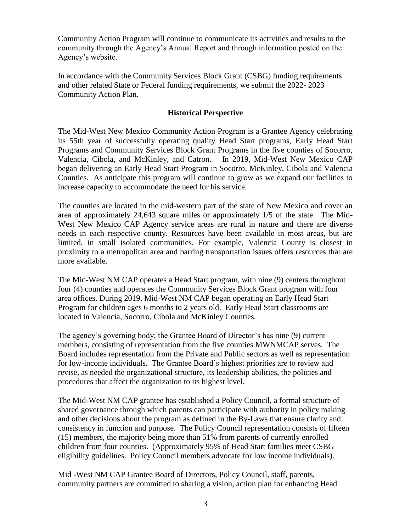Community Action Program will continue to communicate its activities and results to the community through the Agency's Annual Report and through information posted on the Agency's website.

In accordance with the Community Services Block Grant (CSBG) funding requirements and other related State or Federal funding requirements, we submit the 2022- 2023 Community Action Plan.

#### **Historical Perspective**

The Mid-West New Mexico Community Action Program is a Grantee Agency celebrating its 55th year of successfully operating quality Head Start programs, Early Head Start Programs and Community Services Block Grant Programs in the five counties of Socorro, Valencia, Cibola, and McKinley, and Catron. In 2019, Mid-West New Mexico CAP began delivering an Early Head Start Program in Socorro, McKinley, Cibola and Valencia Counties. As anticipate this program will continue to grow as we expand our facilities to increase capacity to accommodate the need for his service.

The counties are located in the mid-western part of the state of New Mexico and cover an area of approximately 24,643 square miles or approximately 1/5 of the state. The Mid-West New Mexico CAP Agency service areas are rural in nature and there are diverse needs in each respective county. Resources have been available in most areas, but are limited, in small isolated communities. For example, Valencia County is closest in proximity to a metropolitan area and barring transportation issues offers resources that are more available.

The Mid-West NM CAP operates a Head Start program, with nine (9) centers throughout four (4) counties and operates the Community Services Block Grant program with four area offices. During 2019, Mid-West NM CAP began operating an Early Head Start Program for children ages 6 months to 2 years old. Early Head Start classrooms are located in Valencia, Socorro, Cibola and McKinley Counties.

The agency's governing body; the Grantee Board of Director's has nine (9) current members, consisting of representation from the five counties MWNMCAP serves. The Board includes representation from the Private and Public sectors as well as representation for low-income individuals. The Grantee Board's highest priorities are to review and revise, as needed the organizational structure, its leadership abilities, the policies and procedures that affect the organization to its highest level.

The Mid-West NM CAP grantee has established a Policy Council, a formal structure of shared governance through which parents can participate with authority in policy making and other decisions about the program as defined in the By-Laws that ensure clarity and consistency in function and purpose. The Policy Council representation consists of fifteen (15) members, the majority being more than 51% from parents of currently enrolled children from four counties. (Approximately 95% of Head Start families meet CSBG eligibility guidelines. Policy Council members advocate for low income individuals).

Mid -West NM CAP Grantee Board of Directors, Policy Council, staff, parents, community partners are committed to sharing a vision, action plan for enhancing Head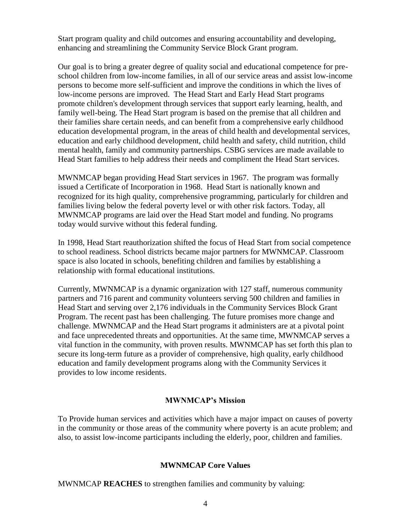Start program quality and child outcomes and ensuring accountability and developing, enhancing and streamlining the Community Service Block Grant program.

Our goal is to bring a greater degree of quality social and educational competence for preschool children from low-income families, in all of our service areas and assist low-income persons to become more self-sufficient and improve the conditions in which the lives of low-income persons are improved. The Head Start and Early Head Start programs promote children's development through services that support early learning, health, and family well-being. The Head Start program is based on the premise that all children and their families share certain needs, and can benefit from a comprehensive early childhood education developmental program, in the areas of child health and developmental services, education and early childhood development, child health and safety, child nutrition, child mental health, family and community partnerships. CSBG services are made available to Head Start families to help address their needs and compliment the Head Start services.

MWNMCAP began providing Head Start services in 1967. The program was formally issued a Certificate of Incorporation in 1968. Head Start is nationally known and recognized for its high quality, comprehensive programming, particularly for children and families living below the federal poverty level or with other risk factors. Today, all MWNMCAP programs are laid over the Head Start model and funding. No programs today would survive without this federal funding.

In 1998, Head Start reauthorization shifted the focus of Head Start from social competence to school readiness. School districts became major partners for MWNMCAP. Classroom space is also located in schools, benefiting children and families by establishing a relationship with formal educational institutions.

Currently, MWNMCAP is a dynamic organization with 127 staff, numerous community partners and 716 parent and community volunteers serving 500 children and families in Head Start and serving over 2,176 individuals in the Community Services Block Grant Program. The recent past has been challenging. The future promises more change and challenge. MWNMCAP and the Head Start programs it administers are at a pivotal point and face unprecedented threats and opportunities. At the same time, MWNMCAP serves a vital function in the community, with proven results. MWNMCAP has set forth this plan to secure its long-term future as a provider of comprehensive, high quality, early childhood education and family development programs along with the Community Services it provides to low income residents.

#### **MWNMCAP's Mission**

To Provide human services and activities which have a major impact on causes of poverty in the community or those areas of the community where poverty is an acute problem; and also, to assist low-income participants including the elderly, poor, children and families.

#### **MWNMCAP Core Values**

MWNMCAP **REACHES** to strengthen families and community by valuing: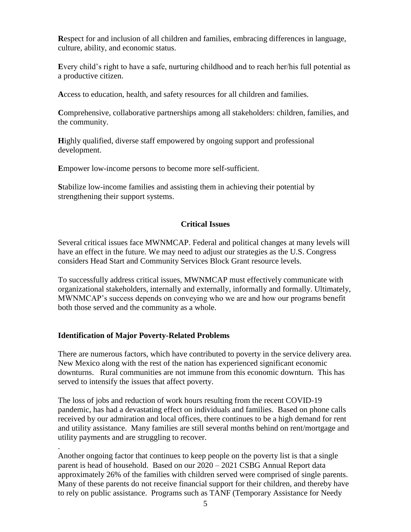**R**espect for and inclusion of all children and families, embracing differences in language, culture, ability, and economic status.

**E**very child's right to have a safe, nurturing childhood and to reach her/his full potential as a productive citizen.

**A**ccess to education, health, and safety resources for all children and families.

**C**omprehensive, collaborative partnerships among all stakeholders: children, families, and the community.

**Highly qualified, diverse staff empowered by ongoing support and professional** development.

**E**mpower low-income persons to become more self-sufficient.

**S**tabilize low-income families and assisting them in achieving their potential by strengthening their support systems.

# **Critical Issues**

Several critical issues face MWNMCAP. Federal and political changes at many levels will have an effect in the future. We may need to adjust our strategies as the U.S. Congress considers Head Start and Community Services Block Grant resource levels.

To successfully address critical issues, MWNMCAP must effectively communicate with organizational stakeholders, internally and externally, informally and formally. Ultimately, MWNMCAP's success depends on conveying who we are and how our programs benefit both those served and the community as a whole.

# **Identification of Major Poverty-Related Problems**

.

There are numerous factors, which have contributed to poverty in the service delivery area. New Mexico along with the rest of the nation has experienced significant economic downturns. Rural communities are not immune from this economic downturn. This has served to intensify the issues that affect poverty.

The loss of jobs and reduction of work hours resulting from the recent COVID-19 pandemic, has had a devastating effect on individuals and families. Based on phone calls received by our admiration and local offices, there continues to be a high demand for rent and utility assistance. Many families are still several months behind on rent/mortgage and utility payments and are struggling to recover.

Another ongoing factor that continues to keep people on the poverty list is that a single parent is head of household. Based on our 2020 – 2021 CSBG Annual Report data approximately 26% of the families with children served were comprised of single parents. Many of these parents do not receive financial support for their children, and thereby have to rely on public assistance. Programs such as TANF (Temporary Assistance for Needy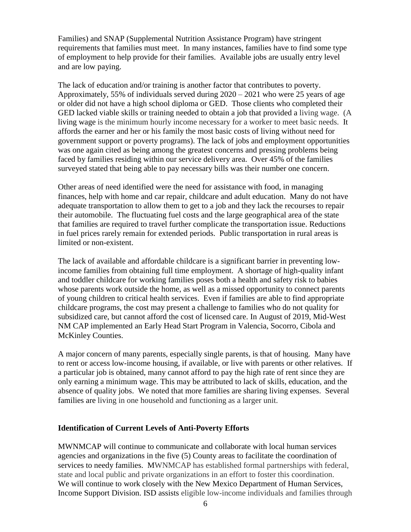Families) and SNAP (Supplemental Nutrition Assistance Program) have stringent requirements that families must meet. In many instances, families have to find some type of employment to help provide for their families. Available jobs are usually entry level and are low paying.

The lack of education and/or training is another factor that contributes to poverty. Approximately, 55% of individuals served during 2020 – 2021 who were 25 years of age or older did not have a high school diploma or GED. Those clients who completed their GED lacked viable skills or training needed to obtain a job that provided a living wage. (A living wage is the minimum hourly income necessary for a worker to meet basic needs. It affords the earner and her or his family the most basic costs of living without need for government support or poverty programs). The lack of jobs and employment opportunities was one again cited as being among the greatest concerns and pressing problems being faced by families residing within our service delivery area. Over 45% of the families surveyed stated that being able to pay necessary bills was their number one concern.

Other areas of need identified were the need for assistance with food, in managing finances, help with home and car repair, childcare and adult education. Many do not have adequate transportation to allow them to get to a job and they lack the recourses to repair their automobile. The fluctuating fuel costs and the large geographical area of the state that families are required to travel further complicate the transportation issue. Reductions in fuel prices rarely remain for extended periods. Public transportation in rural areas is limited or non-existent.

The lack of available and affordable childcare is a significant barrier in preventing lowincome families from obtaining full time employment. A shortage of high-quality infant and toddler childcare for working families poses both a health and safety risk to babies whose parents work outside the home, as well as a missed opportunity to connect parents of young children to critical health services. Even if families are able to find appropriate childcare programs, the cost may present a challenge to families who do not quality for subsidized care, but cannot afford the cost of licensed care. In August of 2019, Mid-West NM CAP implemented an Early Head Start Program in Valencia, Socorro, Cibola and McKinley Counties.

A major concern of many parents, especially single parents, is that of housing. Many have to rent or access low-income housing, if available, or live with parents or other relatives. If a particular job is obtained, many cannot afford to pay the high rate of rent since they are only earning a minimum wage. This may be attributed to lack of skills, education, and the absence of quality jobs. We noted that more families are sharing living expenses. Several families are living in one household and functioning as a larger unit.

#### **Identification of Current Levels of Anti-Poverty Efforts**

MWNMCAP will continue to communicate and collaborate with local human services agencies and organizations in the five (5) County areas to facilitate the coordination of services to needy families. MWNMCAP has established formal partnerships with federal, state and local public and private organizations in an effort to foster this coordination. We will continue to work closely with the New Mexico Department of Human Services, Income Support Division. ISD assists eligible low-income individuals and families through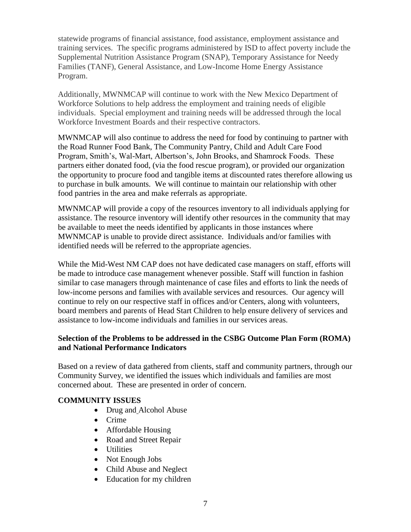statewide programs of financial assistance, food assistance, employment assistance and training services. The specific programs administered by ISD to affect poverty include the Supplemental Nutrition Assistance Program (SNAP), Temporary Assistance for Needy Families (TANF), General Assistance, and Low-Income Home Energy Assistance Program.

Additionally, MWNMCAP will continue to work with the New Mexico Department of Workforce Solutions to help address the employment and training needs of eligible individuals. Special employment and training needs will be addressed through the local Workforce Investment Boards and their respective contractors.

MWNMCAP will also continue to address the need for food by continuing to partner with the Road Runner Food Bank, The Community Pantry, Child and Adult Care Food Program, Smith's, Wal-Mart, Albertson's, John Brooks, and Shamrock Foods. These partners either donated food, (via the food rescue program), or provided our organization the opportunity to procure food and tangible items at discounted rates therefore allowing us to purchase in bulk amounts. We will continue to maintain our relationship with other food pantries in the area and make referrals as appropriate.

MWNMCAP will provide a copy of the resources inventory to all individuals applying for assistance. The resource inventory will identify other resources in the community that may be available to meet the needs identified by applicants in those instances where MWNMCAP is unable to provide direct assistance. Individuals and/or families with identified needs will be referred to the appropriate agencies.

While the Mid-West NM CAP does not have dedicated case managers on staff, efforts will be made to introduce case management whenever possible. Staff will function in fashion similar to case managers through maintenance of case files and efforts to link the needs of low-income persons and families with available services and resources. Our agency will continue to rely on our respective staff in offices and/or Centers, along with volunteers, board members and parents of Head Start Children to help ensure delivery of services and assistance to low-income individuals and families in our services areas.

# **Selection of the Problems to be addressed in the CSBG Outcome Plan Form (ROMA) and National Performance Indicators**

Based on a review of data gathered from clients, staff and community partners, through our Community Survey, we identified the issues which individuals and families are most concerned about. These are presented in order of concern.

# **COMMUNITY ISSUES**

- Drug and Alcohol Abuse
- Crime
- Affordable Housing
- Road and Street Repair
- Utilities
- Not Enough Jobs
- Child Abuse and Neglect
- Education for my children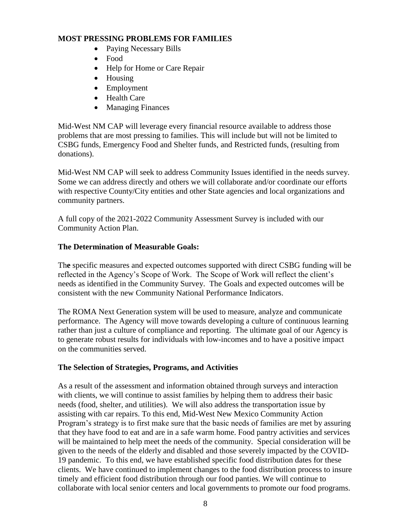#### **MOST PRESSING PROBLEMS FOR FAMILIES**

- Paying Necessary Bills
- Food
- Help for Home or Care Repair
- Housing
- Employment
- Health Care
- Managing Finances

Mid-West NM CAP will leverage every financial resource available to address those problems that are most pressing to families. This will include but will not be limited to CSBG funds, Emergency Food and Shelter funds, and Restricted funds, (resulting from donations).

Mid-West NM CAP will seek to address Community Issues identified in the needs survey. Some we can address directly and others we will collaborate and/or coordinate our efforts with respective County/City entities and other State agencies and local organizations and community partners.

A full copy of the 2021-2022 Community Assessment Survey is included with our Community Action Plan.

# **The Determination of Measurable Goals:**

Th**e** specific measures and expected outcomes supported with direct CSBG funding will be reflected in the Agency's Scope of Work. The Scope of Work will reflect the client's needs as identified in the Community Survey. The Goals and expected outcomes will be consistent with the new Community National Performance Indicators.

The ROMA Next Generation system will be used to measure, analyze and communicate performance. The Agency will move towards developing a culture of continuous learning rather than just a culture of compliance and reporting. The ultimate goal of our Agency is to generate robust results for individuals with low-incomes and to have a positive impact on the communities served.

# **The Selection of Strategies, Programs, and Activities**

As a result of the assessment and information obtained through surveys and interaction with clients, we will continue to assist families by helping them to address their basic needs (food, shelter, and utilities). We will also address the transportation issue by assisting with car repairs. To this end, Mid-West New Mexico Community Action Program's strategy is to first make sure that the basic needs of families are met by assuring that they have food to eat and are in a safe warm home. Food pantry activities and services will be maintained to help meet the needs of the community. Special consideration will be given to the needs of the elderly and disabled and those severely impacted by the COVID-19 pandemic. To this end, we have established specific food distribution dates for these clients. We have continued to implement changes to the food distribution process to insure timely and efficient food distribution through our food panties. We will continue to collaborate with local senior centers and local governments to promote our food programs.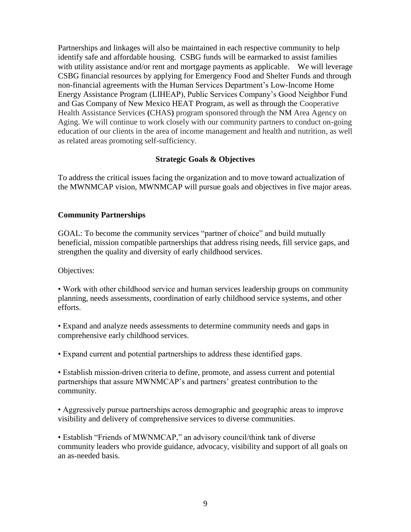Partnerships and linkages will also be maintained in each respective community to help identify safe and affordable housing. CSBG funds will be earmarked to assist families with utility assistance and/or rent and mortgage payments as applicable. We will leverage CSBG financial resources by applying for Emergency Food and Shelter Funds and through non-financial agreements with the Human Services Department's Low-Income Home Energy Assistance Program (LIHEAP), Public Services Company's Good Neighbor Fund and Gas Company of New Mexico HEAT Program, as well as through the Cooperative Health Assistance Services **(**CHAS**)** program sponsored through the NM Area Agency on Aging. We will continue to work closely with our community partners to conduct on-going education of our clients in the area of income management and health and nutrition, as well as related areas promoting self-sufficiency.

#### **Strategic Goals & Objectives**

To address the critical issues facing the organization and to move toward actualization of the MWNMCAP vision, MWNMCAP will pursue goals and objectives in five major areas.

#### **Community Partnerships**

GOAL: To become the community services "partner of choice" and build mutually beneficial, mission compatible partnerships that address rising needs, fill service gaps, and strengthen the quality and diversity of early childhood services.

Objectives:

• Work with other childhood service and human services leadership groups on community planning, needs assessments, coordination of early childhood service systems, and other efforts.

• Expand and analyze needs assessments to determine community needs and gaps in comprehensive early childhood services.

• Expand current and potential partnerships to address these identified gaps.

• Establish mission-driven criteria to define, promote, and assess current and potential partnerships that assure MWNMCAP's and partners' greatest contribution to the community.

• Aggressively pursue partnerships across demographic and geographic areas to improve visibility and delivery of comprehensive services to diverse communities.

• Establish "Friends of MWNMCAP," an advisory council/think tank of diverse community leaders who provide guidance, advocacy, visibility and support of all goals on an as-needed basis.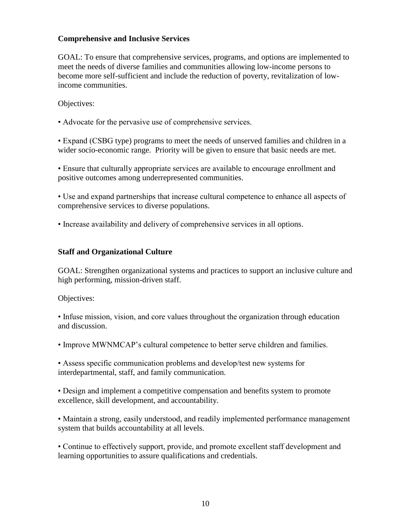#### **Comprehensive and Inclusive Services**

GOAL: To ensure that comprehensive services, programs, and options are implemented to meet the needs of diverse families and communities allowing low-income persons to become more self-sufficient and include the reduction of poverty, revitalization of lowincome communities.

Objectives:

• Advocate for the pervasive use of comprehensive services.

• Expand (CSBG type) programs to meet the needs of unserved families and children in a wider socio-economic range. Priority will be given to ensure that basic needs are met.

• Ensure that culturally appropriate services are available to encourage enrollment and positive outcomes among underrepresented communities.

• Use and expand partnerships that increase cultural competence to enhance all aspects of comprehensive services to diverse populations.

• Increase availability and delivery of comprehensive services in all options.

# **Staff and Organizational Culture**

GOAL: Strengthen organizational systems and practices to support an inclusive culture and high performing, mission-driven staff.

Objectives:

• Infuse mission, vision, and core values throughout the organization through education and discussion.

• Improve MWNMCAP's cultural competence to better serve children and families.

• Assess specific communication problems and develop/test new systems for interdepartmental, staff, and family communication.

• Design and implement a competitive compensation and benefits system to promote excellence, skill development, and accountability.

• Maintain a strong, easily understood, and readily implemented performance management system that builds accountability at all levels.

• Continue to effectively support, provide, and promote excellent staff development and learning opportunities to assure qualifications and credentials.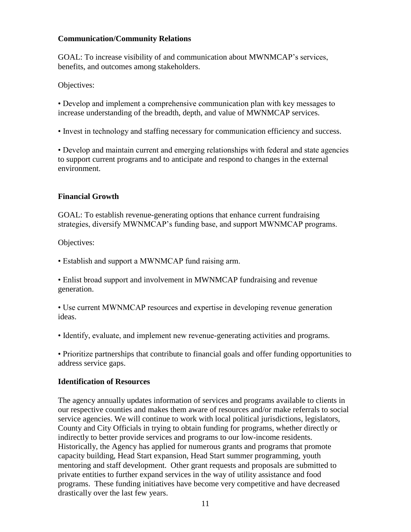#### **Communication/Community Relations**

GOAL: To increase visibility of and communication about MWNMCAP's services, benefits, and outcomes among stakeholders.

Objectives:

• Develop and implement a comprehensive communication plan with key messages to increase understanding of the breadth, depth, and value of MWNMCAP services.

• Invest in technology and staffing necessary for communication efficiency and success.

• Develop and maintain current and emerging relationships with federal and state agencies to support current programs and to anticipate and respond to changes in the external environment.

# **Financial Growth**

GOAL: To establish revenue-generating options that enhance current fundraising strategies, diversify MWNMCAP's funding base, and support MWNMCAP programs.

Objectives:

• Establish and support a MWNMCAP fund raising arm.

• Enlist broad support and involvement in MWNMCAP fundraising and revenue generation.

• Use current MWNMCAP resources and expertise in developing revenue generation ideas.

• Identify, evaluate, and implement new revenue-generating activities and programs.

• Prioritize partnerships that contribute to financial goals and offer funding opportunities to address service gaps.

# **Identification of Resources**

The agency annually updates information of services and programs available to clients in our respective counties and makes them aware of resources and/or make referrals to social service agencies. We will continue to work with local political jurisdictions, legislators, County and City Officials in trying to obtain funding for programs, whether directly or indirectly to better provide services and programs to our low-income residents. Historically, the Agency has applied for numerous grants and programs that promote capacity building, Head Start expansion, Head Start summer programming, youth mentoring and staff development. Other grant requests and proposals are submitted to private entities to further expand services in the way of utility assistance and food programs. These funding initiatives have become very competitive and have decreased drastically over the last few years.